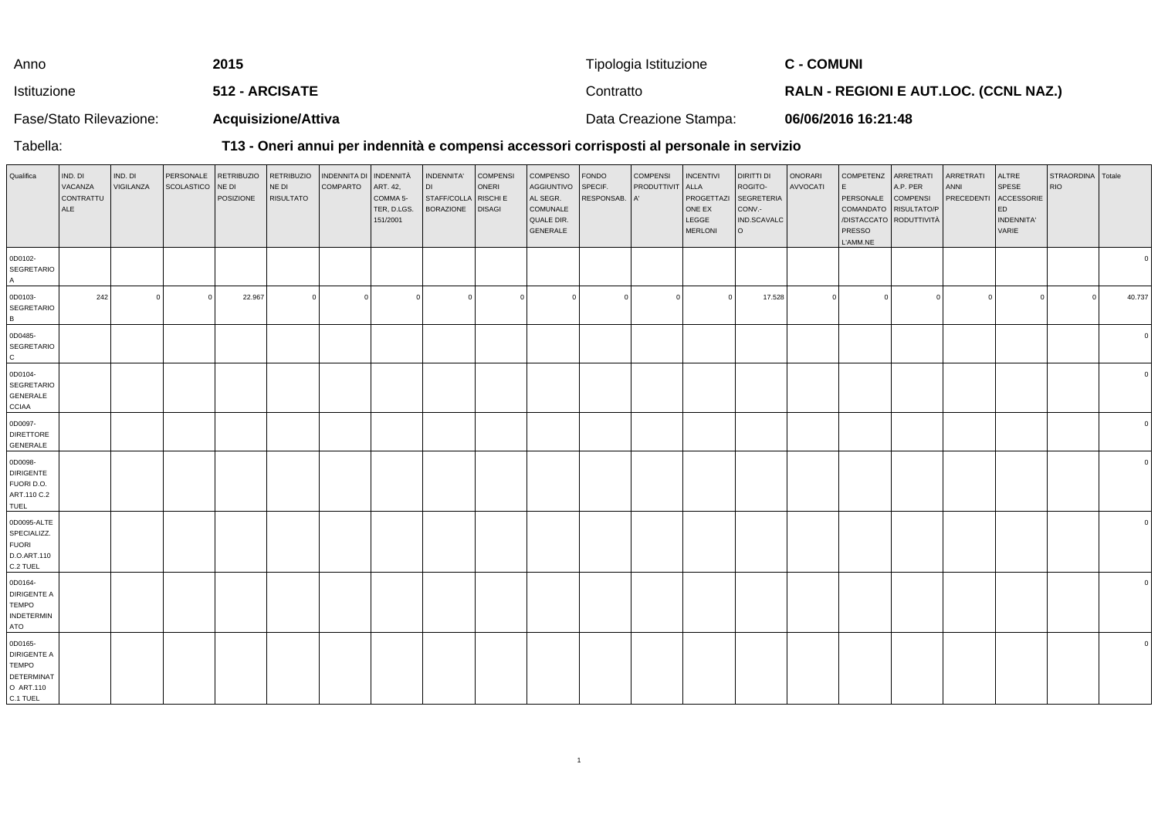| Anno                    | 2015                       | Tipologia Istituzione  | <b>C - COMUNI</b>                            |
|-------------------------|----------------------------|------------------------|----------------------------------------------|
| Istituzione             | <b>512 - ARCISATE</b>      | Contratto              | <b>RALN - REGIONI E AUT.LOC. (CCNL NAZ.)</b> |
| Fase/Stato Rilevazione: | <b>Acquisizione/Attiva</b> | Data Creazione Stampa: | 06/06/2016 16:21:48                          |

Tabella:

## **T13 - Oneri annui per indennità e compensi accessori corrisposti al personale in servizio**

| Qualifica                                                              | IND. DI<br>VACANZA<br>CONTRATTU<br>ALE | IND. DI<br>VIGILANZA | PERSONALE<br>SCOLASTICO | <b>RETRIBUZIO</b><br>NE DI<br>POSIZIONE | RETRIBUZIO<br>NE DI<br>RISULTATO | INDENNITA DI INDENNITÀ<br><b>COMPARTO</b> | ART. 42,<br>COMMA <sub>5</sub> -<br>TER, D.LGS.<br>151/2001 | INDENNITA'<br>DI<br>STAFF/COLLA RISCHI E<br><b>BORAZIONE</b> | <b>COMPENSI</b><br>ONERI<br><b>DISAGI</b> | COMPENSO<br>AGGIUNTIVO<br>AL SEGR.<br>COMUNALE<br>QUALE DIR.<br>GENERALE | <b>FONDO</b><br>SPECIF.<br>RESPONSAB. A' | <b>COMPENSI</b><br>PRODUTTIVIT | <b>INCENTIVI</b><br>ALLA<br>PROGETTAZI<br>ONE EX<br>LEGGE<br><b>MERLONI</b> | DIRITTI DI<br>ROGITO-<br>SEGRETERIA<br>CONV.-<br>IND.SCAVALC<br>l o | ONORARI<br>AVVOCATI | COMPETENZ ARRETRATI<br>E.<br>PERSONALE COMPENSI<br>COMANDATO RISULTATO/P<br>PRESSO<br>L'AMM.NE | A.P. PER<br>/DISTACCATO RODUTTIVITÀ | ARRETRATI<br>ANNI<br>PRECEDENTI | ALTRE<br>SPESE<br>ACCESSORIE<br>ED<br>INDENNITA'<br>VARIE | STRAORDINA Totale<br><b>RIO</b> |            |
|------------------------------------------------------------------------|----------------------------------------|----------------------|-------------------------|-----------------------------------------|----------------------------------|-------------------------------------------|-------------------------------------------------------------|--------------------------------------------------------------|-------------------------------------------|--------------------------------------------------------------------------|------------------------------------------|--------------------------------|-----------------------------------------------------------------------------|---------------------------------------------------------------------|---------------------|------------------------------------------------------------------------------------------------|-------------------------------------|---------------------------------|-----------------------------------------------------------|---------------------------------|------------|
| 0D0102-<br>SEGRETARIO<br>$\overline{A}$                                |                                        |                      |                         |                                         |                                  |                                           |                                                             |                                                              |                                           |                                                                          |                                          |                                |                                                                             |                                                                     |                     |                                                                                                |                                     |                                 |                                                           |                                 |            |
| 0D0103-<br>SEGRETARIO<br>B <sub>1</sub>                                | 242                                    | $\Omega$             | $\Omega$                | 22.967                                  | $\Omega$                         | $\Omega$                                  | $\sqrt{ }$                                                  | $\Omega$                                                     | $\overline{0}$                            | $\Omega$                                                                 | $\Omega$                                 | $\Omega$                       |                                                                             | 17.528                                                              | $\Omega$            | $\overline{0}$                                                                                 |                                     | <sup>n</sup>                    | $\sqrt{ }$                                                |                                 | 40.737     |
| 0D0485-<br>SEGRETARIO<br>$\mathbf{C}$                                  |                                        |                      |                         |                                         |                                  |                                           |                                                             |                                                              |                                           |                                                                          |                                          |                                |                                                                             |                                                                     |                     |                                                                                                |                                     |                                 |                                                           |                                 |            |
| 0D0104-<br>SEGRETARIO<br>GENERALE<br><b>CCIAA</b>                      |                                        |                      |                         |                                         |                                  |                                           |                                                             |                                                              |                                           |                                                                          |                                          |                                |                                                                             |                                                                     |                     |                                                                                                |                                     |                                 |                                                           |                                 |            |
| 0D0097-<br><b>DIRETTORE</b><br>GENERALE                                |                                        |                      |                         |                                         |                                  |                                           |                                                             |                                                              |                                           |                                                                          |                                          |                                |                                                                             |                                                                     |                     |                                                                                                |                                     |                                 |                                                           |                                 |            |
| 0D0098-<br>DIRIGENTE<br>FUORI D.O.<br>ART.110 C.2<br>TUEL              |                                        |                      |                         |                                         |                                  |                                           |                                                             |                                                              |                                           |                                                                          |                                          |                                |                                                                             |                                                                     |                     |                                                                                                |                                     |                                 |                                                           |                                 |            |
| 0D0095-ALTE<br>SPECIALIZZ.<br><b>FUORI</b><br>D.O.ART.110<br>C.2 TUEL  |                                        |                      |                         |                                         |                                  |                                           |                                                             |                                                              |                                           |                                                                          |                                          |                                |                                                                             |                                                                     |                     |                                                                                                |                                     |                                 |                                                           |                                 |            |
| 0D0164-<br>DIRIGENTE A<br><b>TEMPO</b><br><b>INDETERMIN</b><br>ATO     |                                        |                      |                         |                                         |                                  |                                           |                                                             |                                                              |                                           |                                                                          |                                          |                                |                                                                             |                                                                     |                     |                                                                                                |                                     |                                 |                                                           |                                 | $\epsilon$ |
| 0D0165-<br>DIRIGENTE A<br>TEMPO<br>DETERMINAT<br>O ART.110<br>C.1 TUEL |                                        |                      |                         |                                         |                                  |                                           |                                                             |                                                              |                                           |                                                                          |                                          |                                |                                                                             |                                                                     |                     |                                                                                                |                                     |                                 |                                                           |                                 | $\epsilon$ |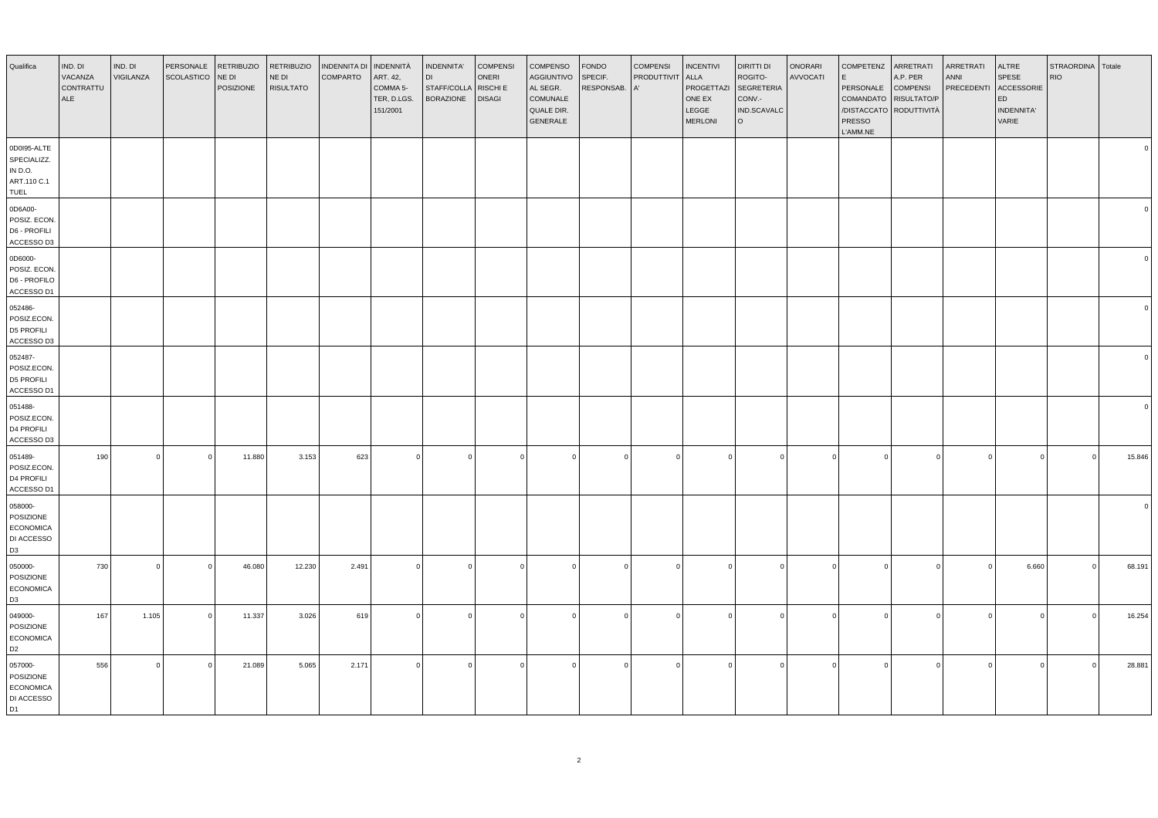| Qualifica                                                                | IND. DI<br>VACANZA<br>CONTRATTU<br>ALE | IND. DI<br>VIGILANZA | PERSONALE<br><b>SCOLASTICO</b> | <b>RETRIBUZIO</b><br>NE DI<br>POSIZIONE | <b>RETRIBUZIO</b><br>NE DI<br><b>RISULTATO</b> | <b>INDENNITA DI</b><br><b>COMPARTO</b> | INDENNITÀ<br>ART. 42,<br>COMMA 5-<br>TER, D.LGS.<br>151/2001 | INDENNITA'<br><b>DI</b><br>STAFF/COLLA<br><b>BORAZIONE</b> | <b>COMPENSI</b><br>ONERI<br>RISCHI E<br><b>DISAGI</b> | COMPENSO<br><b>AGGIUNTIVO</b><br>AL SEGR.<br>COMUNALE<br>QUALE DIR.<br>GENERALE | <b>FONDO</b><br>SPECIF.<br>RESPONSAB. | <b>COMPENSI</b><br>PRODUTTIVIT<br>A' | <b>INCENTIVI</b><br><b>ALLA</b><br>PROGETTAZI<br>ONE EX<br>LEGGE<br><b>MERLONI</b> | DIRITTI DI<br>ROGITO-<br><b>SEGRETERIA</b><br>CONV.-<br>IND.SCAVALC<br>l o | ONORARI<br>AVVOCATI | <b>COMPETENZ</b><br>l E<br>PERSONALE<br>COMANDATO RISULTATO/P<br>/DISTACCATO RODUTTIVITÀ<br>PRESSO<br>L'AMM.NE | ARRETRATI<br>A.P. PER<br><b>COMPENSI</b> | ARRETRATI<br>ANNI<br>PRECEDENTI | ALTRE<br>SPESE<br>ACCESSORIE<br>ED<br>INDENNITA'<br>VARIE | STRAORDINA<br><b>RIO</b> | Totale   |
|--------------------------------------------------------------------------|----------------------------------------|----------------------|--------------------------------|-----------------------------------------|------------------------------------------------|----------------------------------------|--------------------------------------------------------------|------------------------------------------------------------|-------------------------------------------------------|---------------------------------------------------------------------------------|---------------------------------------|--------------------------------------|------------------------------------------------------------------------------------|----------------------------------------------------------------------------|---------------------|----------------------------------------------------------------------------------------------------------------|------------------------------------------|---------------------------------|-----------------------------------------------------------|--------------------------|----------|
| 0D0I95-ALTE<br>SPECIALIZZ.<br>IN D.O.<br>ART.110 C.1<br>TUEL             |                                        |                      |                                |                                         |                                                |                                        |                                                              |                                                            |                                                       |                                                                                 |                                       |                                      |                                                                                    |                                                                            |                     |                                                                                                                |                                          |                                 |                                                           |                          |          |
| 0D6A00-<br>POSIZ. ECON<br>D6 - PROFILI<br>ACCESSO D3                     |                                        |                      |                                |                                         |                                                |                                        |                                                              |                                                            |                                                       |                                                                                 |                                       |                                      |                                                                                    |                                                                            |                     |                                                                                                                |                                          |                                 |                                                           |                          |          |
| 0D6000-<br>POSIZ. ECON.<br>D6 - PROFILO<br>ACCESSO D1                    |                                        |                      |                                |                                         |                                                |                                        |                                                              |                                                            |                                                       |                                                                                 |                                       |                                      |                                                                                    |                                                                            |                     |                                                                                                                |                                          |                                 |                                                           |                          |          |
| 052486-<br>POSIZ.ECON.<br>D5 PROFILI<br>ACCESSO D3                       |                                        |                      |                                |                                         |                                                |                                        |                                                              |                                                            |                                                       |                                                                                 |                                       |                                      |                                                                                    |                                                                            |                     |                                                                                                                |                                          |                                 |                                                           |                          |          |
| 052487-<br>POSIZ.ECON.<br>D5 PROFILI<br>ACCESSO D1                       |                                        |                      |                                |                                         |                                                |                                        |                                                              |                                                            |                                                       |                                                                                 |                                       |                                      |                                                                                    |                                                                            |                     |                                                                                                                |                                          |                                 |                                                           |                          |          |
| 051488-<br>POSIZ.ECON.<br>D4 PROFILI<br>ACCESSO D3                       |                                        |                      |                                |                                         |                                                |                                        |                                                              |                                                            |                                                       |                                                                                 |                                       |                                      |                                                                                    |                                                                            |                     |                                                                                                                |                                          |                                 |                                                           |                          | $\Omega$ |
| 051489-<br>POSIZ.ECON.<br>D4 PROFILI<br>ACCESSO D1                       | 190                                    | $\Omega$             | $\overline{0}$                 | 11.880                                  | 3.153                                          | 623                                    | $\Omega$                                                     | $\Omega$                                                   | $\Omega$                                              |                                                                                 | $\Omega$                              | $\Omega$                             | $\Omega$                                                                           | $\overline{0}$                                                             | $\Omega$            | $\Omega$                                                                                                       |                                          | $\Omega$                        | $\overline{0}$                                            | $\circ$                  | 15.846   |
| 058000-<br>POSIZIONE<br><b>ECONOMICA</b><br>DI ACCESSO<br>D <sub>3</sub> |                                        |                      |                                |                                         |                                                |                                        |                                                              |                                                            |                                                       |                                                                                 |                                       |                                      |                                                                                    |                                                                            |                     |                                                                                                                |                                          |                                 |                                                           |                          | $\Omega$ |
| 050000-<br>POSIZIONE<br><b>ECONOMICA</b><br>D <sub>3</sub>               | 730                                    | $\Omega$             | $\overline{0}$                 | 46.080                                  | 12.230                                         | 2.491                                  | $\Omega$                                                     | $\overline{0}$                                             | $\Omega$                                              | $\Omega$                                                                        | $\Omega$                              | $\Omega$                             | $\Omega$                                                                           | $\overline{0}$                                                             | $\Omega$            | $\Omega$                                                                                                       | $\Omega$                                 | $\Omega$                        | 6.660                                                     | $\Omega$                 | 68.191   |
| 049000-<br>POSIZIONE<br><b>ECONOMICA</b><br>D <sub>2</sub>               | 167                                    | 1.105                | $\overline{0}$                 | 11.337                                  | 3.026                                          | 619                                    | $\Omega$                                                     | $\Omega$                                                   | $\Omega$                                              |                                                                                 | $\Omega$                              | $\Omega$                             | $\Omega$                                                                           | $\overline{0}$                                                             | $\Omega$            |                                                                                                                |                                          | $\Omega$                        | $\overline{0}$                                            | $\Omega$                 | 16.254   |
| 057000-<br>POSIZIONE<br><b>ECONOMICA</b><br>DI ACCESSO<br>D1             | 556                                    | $\Omega$             | $\Omega$                       | 21.089                                  | 5.065                                          | 2.171                                  | $\Omega$                                                     | $\Omega$                                                   | $\Omega$                                              |                                                                                 | $\Omega$                              | $\overline{0}$                       | $\Omega$                                                                           | $\overline{0}$                                                             | $\Omega$            | $\Omega$                                                                                                       |                                          | $\Omega$                        | $\circ$                                                   | $\Omega$                 | 28.881   |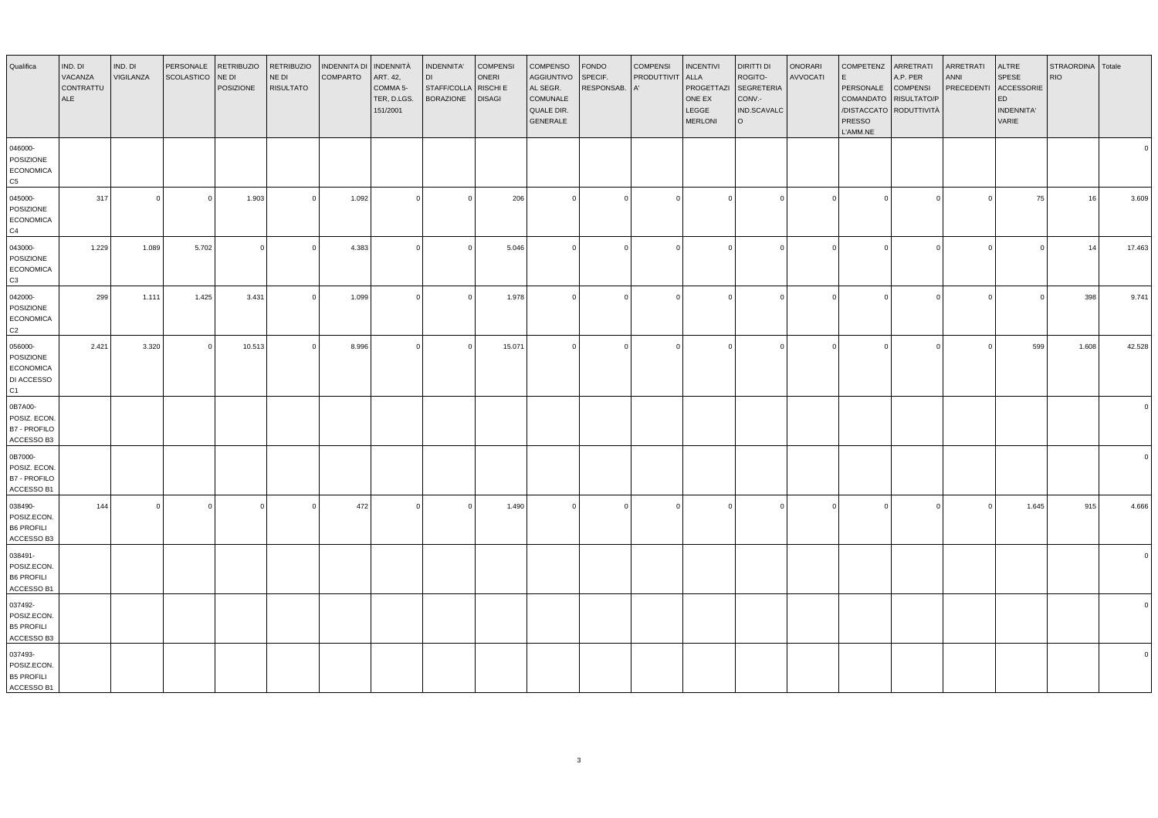| Qualifica                                                    | IND. DI<br>VACANZA<br>CONTRATTU<br><b>ALE</b> | IND. DI<br>VIGILANZA | PERSONALE<br>SCOLASTICO | <b>RETRIBUZIO</b><br>NE DI<br>POSIZIONE | <b>RETRIBUZIO</b><br>NE DI<br><b>RISULTATO</b> | <b>INDENNITA DI</b><br><b>COMPARTO</b> | INDENNITÀ<br>ART. 42,<br>COMMA 5-<br>TER, D.LGS.<br>151/2001 | INDENNITA'<br>STAFF/COLLA<br><b>BORAZIONE</b> | <b>COMPENSI</b><br>ONERI<br>RISCHI E<br><b>DISAGI</b> | COMPENSO<br>AGGIUNTIVO<br>AL SEGR.<br>COMUNALE<br>QUALE DIR.<br>GENERALE | <b>FONDO</b><br>SPECIF.<br>RESPONSAB. | <b>COMPENSI</b><br>PRODUTTIVIT | <b>INCENTIVI</b><br>ALLA<br>PROGETTAZI<br>ONE EX<br>LEGGE<br><b>MERLONI</b> | DIRITTI DI<br>ROGITO-<br><b>SEGRETERIA</b><br>CONV.-<br>IND.SCAVALC<br>l O | <b>ONORARI</b><br>AVVOCATI | <b>COMPETENZ</b><br>E<br>PERSONALE<br>COMANDATO RISULTATO/P<br>/DISTACCATO RODUTTIVITÀ<br><b>PRESSO</b><br>L'AMM.NE | ARRETRATI<br>A.P. PER<br><b>COMPENSI</b> | ARRETRATI<br><b>ANNI</b><br>PRECEDENTI | ALTRE<br><b>SPESE</b><br>ACCESSORIE<br>ED<br>INDENNITA'<br>VARIE | STRAORDINA<br><b>RIO</b> | Totale   |
|--------------------------------------------------------------|-----------------------------------------------|----------------------|-------------------------|-----------------------------------------|------------------------------------------------|----------------------------------------|--------------------------------------------------------------|-----------------------------------------------|-------------------------------------------------------|--------------------------------------------------------------------------|---------------------------------------|--------------------------------|-----------------------------------------------------------------------------|----------------------------------------------------------------------------|----------------------------|---------------------------------------------------------------------------------------------------------------------|------------------------------------------|----------------------------------------|------------------------------------------------------------------|--------------------------|----------|
| 046000-<br>POSIZIONE<br><b>ECONOMICA</b><br>C5               |                                               |                      |                         |                                         |                                                |                                        |                                                              |                                               |                                                       |                                                                          |                                       |                                |                                                                             |                                                                            |                            |                                                                                                                     |                                          |                                        |                                                                  |                          | $\Omega$ |
| 045000-<br>POSIZIONE<br><b>ECONOMICA</b><br>C4               | 317                                           | $\Omega$             | $\Omega$                | 1.903                                   | $\Omega$                                       | 1.092                                  | $\Omega$                                                     | $\overline{0}$                                | 206                                                   |                                                                          | $\mathbf 0$                           | $\overline{0}$                 | $\Omega$                                                                    | $\overline{0}$                                                             | $\mathbf 0$                | $\Omega$                                                                                                            |                                          | $\overline{0}$                         | 75                                                               | 16                       | 3.609    |
| 043000-<br>POSIZIONE<br><b>ECONOMICA</b><br>C3               | 1.229                                         | 1.089                | 5.702                   | $\circ$                                 | $\Omega$                                       | 4.383                                  | $\Omega$                                                     | $\overline{0}$                                | 5.046                                                 |                                                                          | $\overline{0}$                        | $\Omega$                       | $\Omega$                                                                    | $\overline{0}$                                                             | $\Omega$                   | $\Omega$                                                                                                            | $\Omega$                                 | $\Omega$                               | $\overline{0}$                                                   | 14                       | 17.463   |
| 042000-<br>POSIZIONE<br><b>ECONOMICA</b><br>C <sub>2</sub>   | 299                                           | 1.111                | 1.425                   | 3.431                                   | $\Omega$                                       | 1.099                                  | $\Omega$                                                     | $\overline{0}$                                | 1.978                                                 |                                                                          | $\overline{0}$                        | $\Omega$                       | $\Omega$                                                                    | $\overline{0}$                                                             | $\Omega$                   | $\Omega$                                                                                                            | $\Omega$                                 | $\Omega$                               | $\overline{0}$                                                   | 398                      | 9.741    |
| 056000-<br>POSIZIONE<br><b>ECONOMICA</b><br>DI ACCESSO<br>C1 | 2.421                                         | 3.320                | $\Omega$                | 10.513                                  | $\Omega$                                       | 8.996                                  | $\Omega$                                                     | $\overline{0}$                                | 15.071                                                | $\Omega$                                                                 | $\circ$                               | $\Omega$                       | $\Omega$                                                                    | $\overline{0}$                                                             | $\Omega$                   | $\Omega$                                                                                                            | $\Omega$                                 | $\Omega$                               | 599                                                              | 1.608                    | 42.528   |
| 0B7A00-<br>POSIZ. ECON.<br><b>B7 - PROFILO</b><br>ACCESSO B3 |                                               |                      |                         |                                         |                                                |                                        |                                                              |                                               |                                                       |                                                                          |                                       |                                |                                                                             |                                                                            |                            |                                                                                                                     |                                          |                                        |                                                                  |                          |          |
| 0B7000-<br>POSIZ. ECON.<br><b>B7 - PROFILO</b><br>ACCESSO B1 |                                               |                      |                         |                                         |                                                |                                        |                                                              |                                               |                                                       |                                                                          |                                       |                                |                                                                             |                                                                            |                            |                                                                                                                     |                                          |                                        |                                                                  |                          |          |
| 038490-<br>POSIZ.ECON.<br><b>B6 PROFILI</b><br>ACCESSO B3    | 144                                           |                      | $\cap$                  | $\mathbf 0$                             | $\Omega$                                       | 472                                    | $\Omega$                                                     | $\Omega$                                      | 1.490                                                 |                                                                          | $\Omega$                              | $\Omega$                       | $\Omega$                                                                    | $\Omega$                                                                   | $\Omega$                   |                                                                                                                     |                                          | $\Omega$                               | 1.645                                                            | 915                      | 4.666    |
| 038491-<br>POSIZ.ECON.<br><b>B6 PROFILI</b><br>ACCESSO B1    |                                               |                      |                         |                                         |                                                |                                        |                                                              |                                               |                                                       |                                                                          |                                       |                                |                                                                             |                                                                            |                            |                                                                                                                     |                                          |                                        |                                                                  |                          |          |
| 037492-<br>POSIZ.ECON.<br><b>B5 PROFILI</b><br>ACCESSO B3    |                                               |                      |                         |                                         |                                                |                                        |                                                              |                                               |                                                       |                                                                          |                                       |                                |                                                                             |                                                                            |                            |                                                                                                                     |                                          |                                        |                                                                  |                          |          |
| 037493-<br>POSIZ.ECON.<br><b>B5 PROFILI</b><br>ACCESSO B1    |                                               |                      |                         |                                         |                                                |                                        |                                                              |                                               |                                                       |                                                                          |                                       |                                |                                                                             |                                                                            |                            |                                                                                                                     |                                          |                                        |                                                                  |                          |          |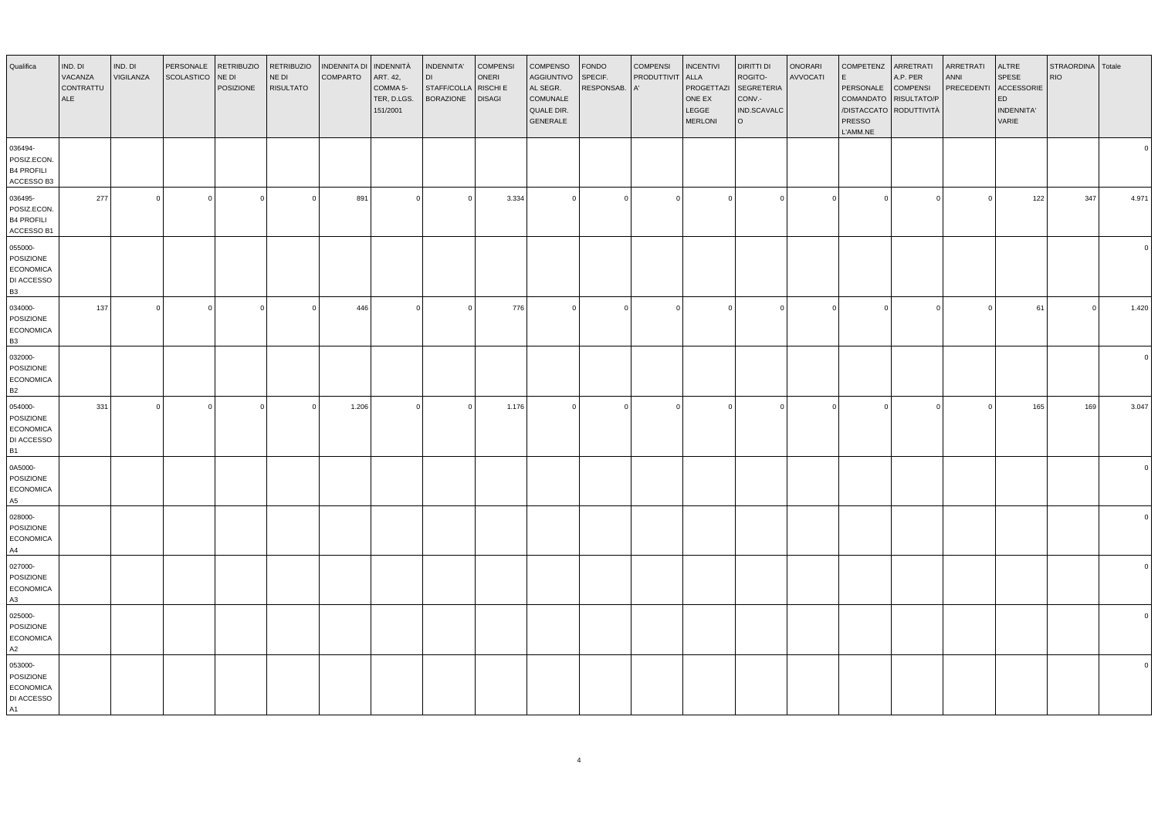| Qualifica                                                           | IND. DI<br>VACANZA<br>CONTRATTU<br>ALE | IND. DI<br>VIGILANZA    | PERSONALE<br>SCOLASTICO | RETRIBUZIO<br>NE DI<br>POSIZIONE | <b>RETRIBUZIO</b><br>NE DI<br><b>RISULTATO</b> | INDENNITA DI<br><b>COMPARTO</b> | <b>INDENNITÀ</b><br>ART. 42,<br>COMMA 5-<br>TER, D.LGS.<br>151/2001 | INDENNITA'<br>STAFF/COLLA<br><b>BORAZIONE</b> | <b>COMPENSI</b><br>ONERI<br>RISCHI E<br><b>DISAGI</b> | COMPENSO<br>AGGIUNTIVO<br>AL SEGR.<br>COMUNALE<br>QUALE DIR.<br>GENERALE | <b>FONDO</b><br>SPECIF.<br>RESPONSAB. | <b>COMPENSI</b><br>PRODUTTIVIT<br>IA' | <b>INCENTIVI</b><br>ALLA<br>PROGETTAZI<br>ONE EX<br>LEGGE<br><b>MERLONI</b> | DIRITTI DI<br>ROGITO-<br><b>SEGRETERIA</b><br>CONV.-<br>IND.SCAVALC<br>$\circ$ | <b>ONORARI</b><br>AVVOCATI | <b>COMPETENZ</b><br>l E<br>PERSONALE<br>COMANDATO<br>/DISTACCATO RODUTTIVITÀ<br>PRESSO<br>L'AMM.NE | ARRETRATI<br>A.P. PER<br><b>COMPENSI</b><br>RISULTATO/P | ARRETRATI<br>ANNI<br>PRECEDENTI | ALTRE<br>SPESE<br>ACCESSORIE<br>ED<br>INDENNITA'<br>VARIE | STRAORDINA Totale<br><b>RIO</b> |          |
|---------------------------------------------------------------------|----------------------------------------|-------------------------|-------------------------|----------------------------------|------------------------------------------------|---------------------------------|---------------------------------------------------------------------|-----------------------------------------------|-------------------------------------------------------|--------------------------------------------------------------------------|---------------------------------------|---------------------------------------|-----------------------------------------------------------------------------|--------------------------------------------------------------------------------|----------------------------|----------------------------------------------------------------------------------------------------|---------------------------------------------------------|---------------------------------|-----------------------------------------------------------|---------------------------------|----------|
| 036494-<br>POSIZ.ECON.<br><b>B4 PROFILI</b><br>ACCESSO B3           |                                        |                         |                         |                                  |                                                |                                 |                                                                     |                                               |                                                       |                                                                          |                                       |                                       |                                                                             |                                                                                |                            |                                                                                                    |                                                         |                                 |                                                           |                                 |          |
| 036495-<br>POSIZ.ECON.<br><b>B4 PROFILI</b><br>ACCESSO B1           | 277                                    | $\overline{\mathbf{0}}$ | $\mathbf{0}$            | $\circ$                          | $\Omega$                                       | 891                             | $\Omega$                                                            | $\overline{0}$                                | 3.334                                                 | $\Omega$                                                                 | $\circ$                               | $\overline{0}$                        | $\Omega$                                                                    | $\overline{0}$                                                                 | $\Omega$                   | $\circ$                                                                                            | $\Omega$                                                | $\Omega$                        | 122                                                       | 347                             | 4.971    |
| 055000-<br>POSIZIONE<br><b>ECONOMICA</b><br>DI ACCESSO<br><b>B3</b> |                                        |                         |                         |                                  |                                                |                                 |                                                                     |                                               |                                                       |                                                                          |                                       |                                       |                                                                             |                                                                                |                            |                                                                                                    |                                                         |                                 |                                                           |                                 |          |
| 034000-<br>POSIZIONE<br><b>ECONOMICA</b><br><b>B3</b>               | 137                                    | $\overline{0}$          | $\mathbf{0}$            | $\circ$                          | $\overline{0}$                                 | 446                             | $\Omega$                                                            | $\overline{0}$                                | 776                                                   | $\Omega$                                                                 | $\circ$                               | $\overline{0}$                        | $\Omega$                                                                    | $\overline{0}$                                                                 | $\Omega$                   | $\Omega$                                                                                           | $\Omega$                                                | $\Omega$                        | 61                                                        | $\overline{0}$                  | 1.420    |
| 032000-<br>POSIZIONE<br><b>ECONOMICA</b><br><b>B2</b>               |                                        |                         |                         |                                  |                                                |                                 |                                                                     |                                               |                                                       |                                                                          |                                       |                                       |                                                                             |                                                                                |                            |                                                                                                    |                                                         |                                 |                                                           |                                 | $\Omega$ |
| 054000-<br>POSIZIONE<br><b>ECONOMICA</b><br>DI ACCESSO<br><b>B1</b> | 331                                    | $^{\circ}$              | $\overline{0}$          | $\circ$                          | $\Omega$                                       | 1.206                           | $\Omega$                                                            | $\overline{\mathbf{0}}$                       | 1.176                                                 | $\Omega$                                                                 | $\mathbf 0$                           | $\Omega$                              | $\Omega$                                                                    | $\Omega$                                                                       | $\Omega$                   | $\Omega$                                                                                           | $\Omega$                                                | $\Omega$                        | 165                                                       | 169                             | 3.047    |
| 0A5000-<br>POSIZIONE<br><b>ECONOMICA</b><br>A5                      |                                        |                         |                         |                                  |                                                |                                 |                                                                     |                                               |                                                       |                                                                          |                                       |                                       |                                                                             |                                                                                |                            |                                                                                                    |                                                         |                                 |                                                           |                                 |          |
| 028000-<br>POSIZIONE<br><b>ECONOMICA</b><br>A4                      |                                        |                         |                         |                                  |                                                |                                 |                                                                     |                                               |                                                       |                                                                          |                                       |                                       |                                                                             |                                                                                |                            |                                                                                                    |                                                         |                                 |                                                           |                                 |          |
| 027000-<br>POSIZIONE<br><b>ECONOMICA</b><br>A3                      |                                        |                         |                         |                                  |                                                |                                 |                                                                     |                                               |                                                       |                                                                          |                                       |                                       |                                                                             |                                                                                |                            |                                                                                                    |                                                         |                                 |                                                           |                                 |          |
| 025000-<br>POSIZIONE<br><b>ECONOMICA</b><br>A2                      |                                        |                         |                         |                                  |                                                |                                 |                                                                     |                                               |                                                       |                                                                          |                                       |                                       |                                                                             |                                                                                |                            |                                                                                                    |                                                         |                                 |                                                           |                                 |          |
| 053000-<br>POSIZIONE<br><b>ECONOMICA</b><br>DI ACCESSO<br>A1        |                                        |                         |                         |                                  |                                                |                                 |                                                                     |                                               |                                                       |                                                                          |                                       |                                       |                                                                             |                                                                                |                            |                                                                                                    |                                                         |                                 |                                                           |                                 |          |

4